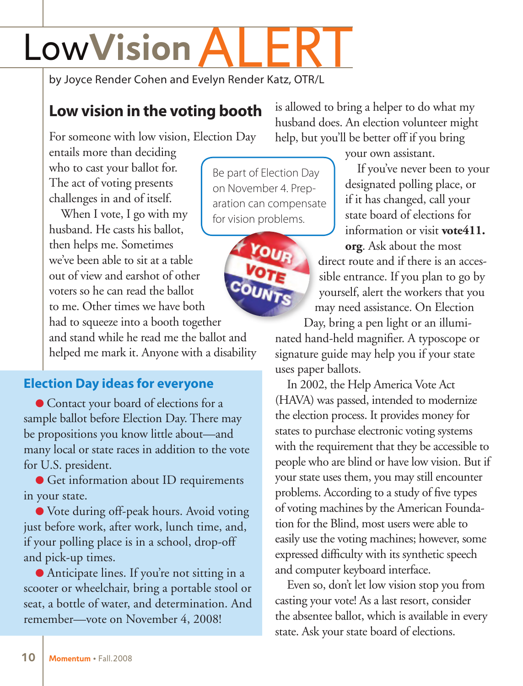## LowVision

by Joyce Render Cohen and Evelyn Render Katz, OTR/L

## **Low vision in the voting booth**

For someone with low vision, Election Day

entails more than deciding who to cast your ballot for. The act of voting presents challenges in and of itself.

When I vote, I go with my husband. He casts his ballot, then helps me. Sometimes we've been able to sit at a table out of view and earshot of other voters so he can read the ballot to me. Other times we have both had to squeeze into a booth together

and stand while he read me the ballot and helped me mark it. Anyone with a disability

## **Election Day ideas for everyone**

● Contact your board of elections for a sample ballot before Election Day. There may be propositions you know little about—and many local or state races in addition to the vote for U.S. president.

● Get information about ID requirements in your state.

● Vote during off-peak hours. Avoid voting just before work, after work, lunch time, and, if your polling place is in a school, drop-off and pick-up times.

● Anticipate lines. If you're not sitting in a scooter or wheelchair, bring a portable stool or seat, a bottle of water, and determination. And remember—vote on November 4, 2008!

is allowed to bring a helper to do what my husband does. An election volunteer might help, but you'll be better off if you bring

Be part of Election Day on November 4. Preparation can compensate for vision problems.



your own assistant.

If you've never been to your designated polling place, or if it has changed, call your state board of elections for information or visit **vote411.**

**org**[. Ask about the most](http://www.vote411.org)  direct route and if there is an accessible entrance. If you plan to go by yourself, alert the workers that you may need assistance. On Election

Day, bring a pen light or an illumi-

nated hand-held magnifier. A typoscope or signature guide may help you if your state uses paper ballots.

In 2002, the Help America Vote Act (HAVA) was passed, intended to modernize the election process. It provides money for states to purchase electronic voting systems with the requirement that they be accessible to people who are blind or have low vision. But if your state uses them, you may still encounter problems. According to a study of five types of voting machines by the American Foundation for the Blind, most users were able to easily use the voting machines; however, some expressed difficulty with its synthetic speech and computer keyboard interface.

Even so, don't let low vision stop you from casting your vote! As a last resort, consider the absentee ballot, which is available in every state. Ask your state board of elections.